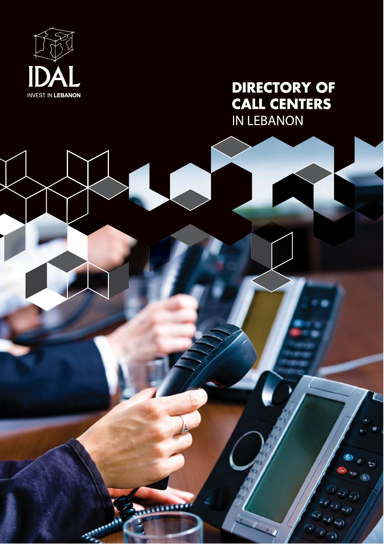

# **DIRECTORY OF CALL CENTERS IN LEBANON**

.....

 $\circ$ Þ  $\langle \hat{g} \rangle$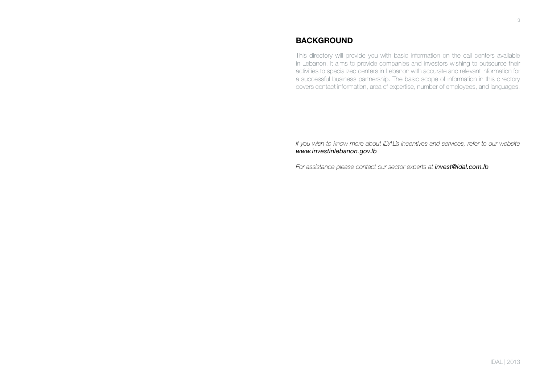#### **BACKGROUND**

This directory will provide you with basic information on the call centers available in Lebanon. It aims to provide companies and investors wishing to outsource their activities to specialized centers in Lebanon with accurate and relevant information for a successful business partnership. The basic scope of information in this directory covers contact information, area of expertise, number of employees, and languages.

*If you wish to know more about IDAL's incentives and services, refer to our website www.investinlebanon.gov.lb*

*For assistance please contact our sector experts at invest@idal.com.lb*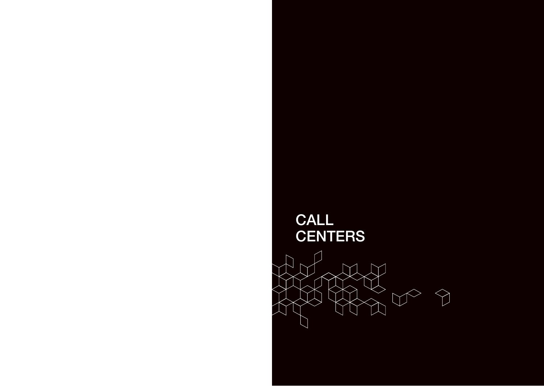# **CALL CENTERS**  $\bigotimes$  $D \rightarrow 0$  $\bigwedge$

4 5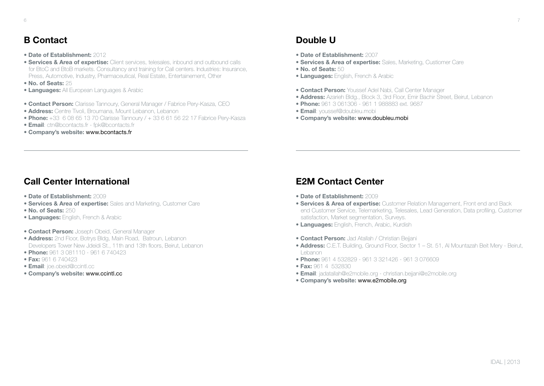# B Contact

- Date of Establishment: 2012
- Services & Area of expertise: Client services, telesales, inbound and outbound calls for BtoC and BtoB markets. Consultancy and training for Call centers. Industries: Insurance, Press, Automotive, Industry, Pharmaceutical, Real Estate, Entertainement, Other
- No. of Seats: 25
- Languages: All European Languages & Arabic
- Contact Person: Clarisse Tannoury, General Manager / Fabrice Pery-Kasza, CEO
- Address: Centre Tivoli, Broumana, Mount Lebanon, Lebanon
- Phone: +33 6 08 65 13 70 Clarisse Tannoury / + 33 6 61 56 22 17 Fabrice Pery-Kasza
- Email: ctn@bcontacts.fr fpk@bcontacts.fr
- Company's website: www.bcontacts.fr

# Double U

- Date of Establishment: 2007
- Services & Area of expertise: Sales, Marketing, Custiomer Care
- No. of Seats: 50
- **Languages:** English, French & Arabic
- Contact Person: Youssef Adel Nabi, Call Center Manager
- Address: Azarieh Bldg., Block 3, 3rd Floor, Emir Bachir Street, Beirut, Lebanon
- Phone: 961 3 061306 961 1 988883 ext. 9687
- Email: youssef@doubleu.mobi
- Company's website: www.doubleu.mobi

### Call Center International

- Date of Establishment: 2009
- Services & Area of expertise: Sales and Marketing, Customer Care
- No. of Seats: 250
- **Languages:** English, French & Arabic
- Contact Person: Joseph Obeid, General Manager
- Address: 2nd Floor, Botrys Bldg, Main Road, Batroun, Lebanon Developers Tower New Jdeidi St., 11th and 13th floors, Beirut, Lebanon
- Phone: 961 3 081110 961 6 740423
- Fax: 961 6 740423
- Email: joe.obeid@ccintl.cc
- Company's website: www.ccintl.cc

## E2M Contact Center

- Date of Establishment: 2009
- **Services & Area of expertise:** Customer Relation Management, Front end and Back end Customer Service, Telemarketing, Telesales, Lead Generation, Data profiling, Customer satisfaction, Market segmentation, Surveys.
- Languages: English, French, Arabic, Kurdish
- Contact Person: Jad Atallah / Christian Bejjani
- Address: C.E.T. Building, Ground Floor, Sector 1 St. 51, Al Mountazah Beit Mery Beirut, Lebanon
- Phone: 961 4 532829 961 3 321426 961 3 076609
- Fax: 961 4 532830
- Email: jadatallah@e2mobile.org christian.bejjani@e2mobile.org
- Company's website: www.e2mobile.org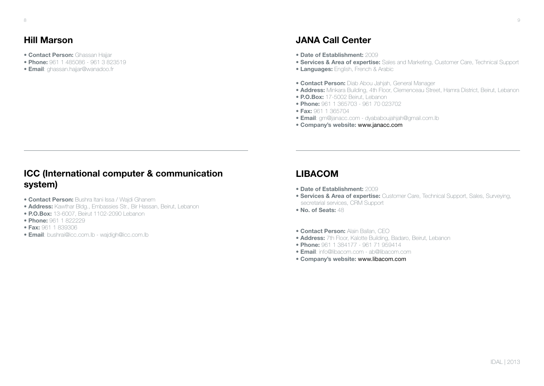#### Hill Marson

- **Contact Person: Ghassan Hajjar**
- Phone: 961 1 485086 961 3 823519
- Email: ghassan.hajjar@wanadoo.fr

### JANA Call Center

- Date of Establishment: 2009
- Services & Area of expertise: Sales and Marketing, Customer Care, Technical Support
- Languages: English, French & Arabic
- Contact Person: Diab Abou Jahjah, General Manager
- Address: Minkara Building, 4th Floor, Clemenceau Street, Hamra District, Beirut, Lebanon
- P.O.Box: 17-5002 Beirut, Lebanon
- Phone: 961 1 365703 961 70 023702
- Fax: 961 1 365704
- Email: gm@janacc.com dyababoujahjah@gmail.com.lb
- Company's website: www.janacc.com

#### ICC (International computer & communication system)

- Contact Person: Bushra Itani Issa / Wajdi Ghanem
- Address: Kawthar Bldg., Embassies Str., Bir Hassan, Beirut, Lebanon
- **P.O.Box:** 13-6007, Beirut 1102-2090 Lebanon
- Phone: 961 1 822229
- **Fax: 961 1 839306**
- Email: bushrai@icc.com.lb wajdigh@icc.com.lb

#### LIBACOM

- Date of Establishment: 2009
- **Services & Area of expertise:** Customer Care, Technical Support, Sales, Surveying, secretarial services, CRM Support
- No. of Seats: 48
- Contact Person: Alain Ballan, CEO
- Address: 7th Floor, Kalotte Building, Badaro, Beirut, Lebanon
- Phone: 961 1 384177 961 71 959414
- Email: info@libacom.com ab@libacom.com
- Company's website: www.libacom.com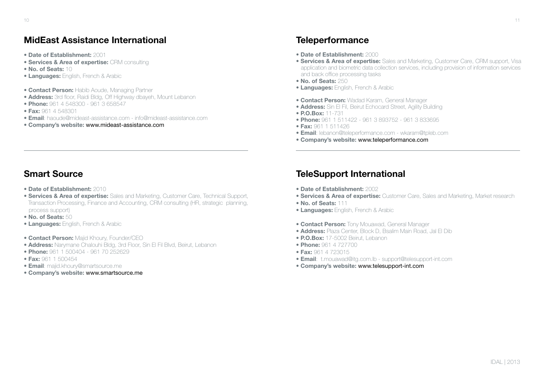#### MidEast Assistance International

- Date of Establishment: 2001
- Services & Area of expertise: CRM consulting
- No. of Seats: 10
- **Languages: English, French & Arabic**
- Contact Person: Habib Aoude, Managing Partner
- Address: 3rd floor, Raidi Bldg, Off Highway dbayeh, Mount Lebanon
- Phone: 961 4 548300 961 3 658547
- Fax: 961 4 548301
- Email: haoude@mideast-assistance.com info@mideast-assistance.com
- Company's website: www.mideast-assistance.com

#### Smart Source

- Date of Establishment: 2010
- **Services & Area of expertise:** Sales and Marketing, Customer Care, Technical Support, Transaction Processing, Finance and Accounting, CRM consulting (HR, strategic planning, process support)
- No. of Seats: 50
- Languages: English, French & Arabic
- **Contact Person:** Majid Khoury, Founder/CEO
- Address: Narymane Chalouhi Bldg, 3rd Floor, Sin El Fil Blvd, Beirut, Lebanon
- Phone: 961 1 500404 961 70 252629
- Fax: 961 1 500454
- Email: majid.khoury@smartsource.me
- Company's website: www.smartsource.me

#### Teleperformance

- Date of Establishment: 2000
- **Services & Area of expertise:** Sales and Marketing, Customer Care, CRM support, Visa ...application and biometric data collection services, including provision of information services and back office processing tasks
- No. of Seats: 250
- Languages: English, French & Arabic
- Contact Person: Wadad Karam, General Manager
- **Address:** Sin El Fil, Beirut Echocard Street, Agility Building
- P.O.Box: 11-731
- Phone: 961 1 511422 961 3 893752 961 3 833695
- Fax: 961 1 511426
- Email: lebanon@teleperformance.com wkaram@tpleb.com
- Company's website: www.teleperformance.com

#### TeleSupport International

- Date of Establishment: 2002
- **Services & Area of expertise:** Customer Care, Sales and Marketing, Market research
- No. of Seats: 111
- **Languages: English, French & Arabic**
- **Contact Person:** Tony Mouawad, General Manager
- Address: Plaza Center, Block D, Bsalim Main Road, Jal El Dib
- P.O. Box: 17-5002 Beirut, Lebanon
- **Phone: 961 4 727700**
- Fax: 961 4 723015
- Email: t.mouawad@itg.com.lb support@telesupport-int.com
- Company's website: www.telesupport-int.com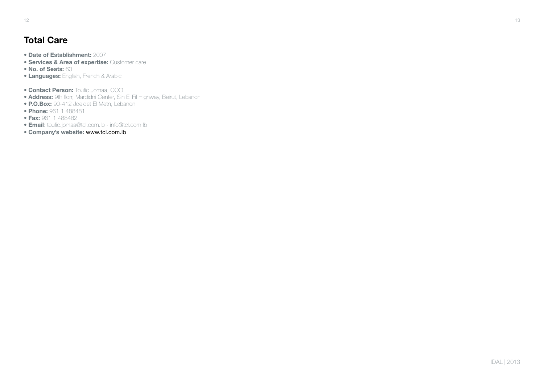# Total Care

- Date of Establishment: 2007
- Services & Area of expertise: Customer care
- No. of Seats: 60
- Languages: English, French & Arabic
- Contact Person: Toufic Jomaa, COO
- Address: 9th florr, Mardidni Center, Sin El Fil Highway, Beirut, Lebanon
- P.O.Box: 90-412 Jdeidet El Metn, Lebanon
- Phone: 961 1 488481
- Fax: 961 1 488482
- Email: toufic.jomaa@tcl.com.lb info@tcl.com.lb
- Company's website: www.tcl.com.lb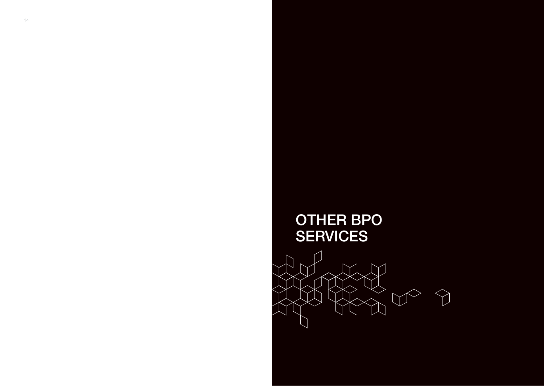# OTHER BPO SERVICES $\bigotimes$  $\overline{\mathbb{V}}$  $\bigodot$  $\bigcap$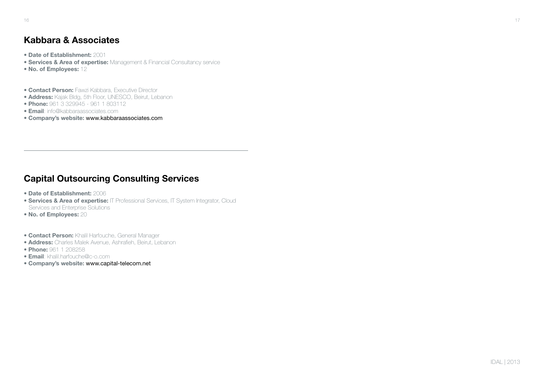#### Kabbara & Associates

- Date of Establishment: 2001
- Services & Area of expertise: Management & Financial Consultancy service
- No. of Employees: 12
- Contact Person: Fawzi Kabbara, Executive Director
- Address: Kajak Bldg, 5th Floor, UNESCO, Beirut, Lebanon
- Phone: 961 3 329945 961 1 803112
- **Email**: info@kabbaraassociates.com
- Company's website: www.kabbaraassociates.com

#### Capital Outsourcing Consulting Services

- Date of Establishment: 2006
- Services & Area of expertise: IT Professional Services, IT System Integrator, Cloud Services and Enterprise Solutions
- No. of Employees: 20
- Contact Person: Khalil Harfouche, General Manager
- Address: Charles Malek Avenue, Ashrafieh, Beirut, Lebanon
- Phone: 961 1 208258
- Email: khalil.harfouche@c-o.com
- Company's website: www.capital-telecom.net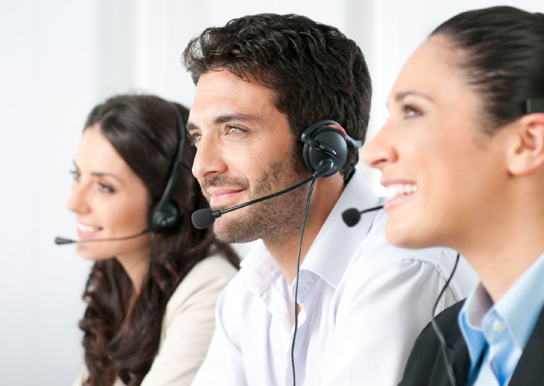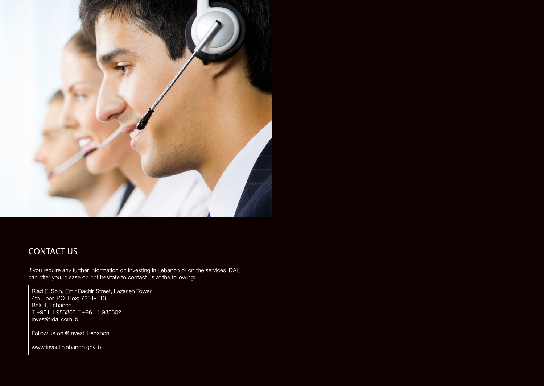

# **CONTACT US**

If you require any further information on Investing in Lebanon or on the services IDAL<br>can offer you, please do not hesitate to contact us at the following:

Riad El Solh, Emir Bachir Street, Lazarieh Tower 4th Floor, PO. Box: 7251-113 Beirut, Lebanon T +961 1 983306 F +961 1 983302 invest@idal.com.lb

Follow us on @Invest\_Lebanon

www.investinlebanon.gov.lb